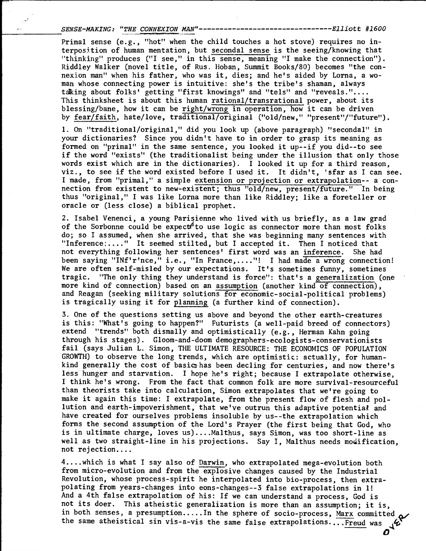SENSE-MAKING: "THE CONNEXION MAN"-------------------------------Elliott #1600

Primal sense (e.g., "hot" when the child touches a hot stove) requires no interposftion of human mentation, but secondal sense is the seeing/knowing that "thinking" produces ("I see," in this sense, meaning "I make the connection"). Riddley Walker (novel title, of Rus. Hoban, Summit Books/80) becomes "the connexion man" when his father, who was it, dies; and he's aided by Lorna, a woman whose connecting power is intuitive: she's the tribe's shaman, always tdking about folks' getting "first knowings" and "tels" and "reveals.".... This thinksheet is about this human rational/transrational power, about its blessing/bane, how it can be right/wrong in operation, how it can be driven by fear/faith, hate/love, traditional/original ("old/new," "present"/"future").

1. On "traditional/original," did you look up (above paragraph) "secondal" in your dictionaries? Since you didn't have to in order to grasp its meaning as formed on "primal" in the same sentence, you looked it up--if you did--to see if the word "exists" (the traditionalist being under the illusion that only those words exist which are in the dictionaries). I looked it up for a third reason, viz., to see if the word existed before I used it. It didn't, 'sfar as I can see. I made, from "primal," a simple extension or projection or extrapolation-- a connection from existent to new-existent; thus "old/new, present/future." In being thus "original," I was like Lorna more than like Riddley; like a foreteller or oracle or (less close) a biblical prophet.

2. Isabel Venenci, a young Parisienne who lived with us briefly, as a law grad of the Sorbonne could be expect<sup>4</sup> to use logic as connector more than most folks do; so I assumed, when she arrived, that she was beginning many sentences with "Inference :...." It seemed stilted, but I accepted it. Then I noticed that not everything following her sentences' first word was an inference. She had been saying "INf'r'nce," i.e., "In France,...."! I had made a wrong connection! We are often self-misled by our expectations. It's sometimes funny, sometimes tragic. "The only thing they understand is force": that's a generalization (one more kind of connection) based on an assumption (another kind of connection), and Reagan (seeking military solutions for economic-social-political problems) is tragically using it for planning (a further kind of connection).

3. One of the questions setting us above and beyond the other earth-creatures is this: "What's going to happen?" Futurists (a well-paid breed of connectors) extend "trends" both dismally and optimistically (e.g., Herman Kahn going through his stages). Gloom-and-doom demographers-ecologists-conservationists fail (says Julian L. Simon, THE ULTIMATE RESOURCE: THE ECONOMICS OF POPULATION GROWTH) to observe the long trends, which are optimistic: actually, for humankind generally the cost of basics has been decling for centuries, and now there's less hunger and starvation. I hope he's right; because I extrapolate otherwise, I think he's wrong. From the fact that common folk are more survival-resourceful than theorists take into calculation, Simon extrapolates that we're going to make it again this time: I extrapolate, from the present flow of flesh and pollution and earth-impoverishment, that we've outrun this adaptive potential and have created for ourselves problems insoluble by us--the extrapolation which forms the second assumption of the Lord's Prayer (the first being that God, who is in ultimate charge, loves us)....Malthus, says Simon, was too short-line as well as two straight-line in his projections. Say I, Malthus needs modification, not rejection....

4....which is what I say also of Darwin, who extrapolated mega-evolution both from micro-evolution and from the explosive changes caused by the Industrial Revolution, whose process-spirit he interpolated into bio-process, then extrapolating from years-changes into eons-changes--3 false extrapolations in 1! And a 4th false extrapolation of his: If we can understand a process, God is not its doer. This atheistic generalization is more than an assumption; it is, in both senses, a presumption.....In the sphere of socio-process, Marx committed, the same atheistical sin vis-a-vis the same false extrapolations....Freud was  $\mathcal{L}$ the same atheistical sin vis-a-vis the same false extrapolations....Freud was